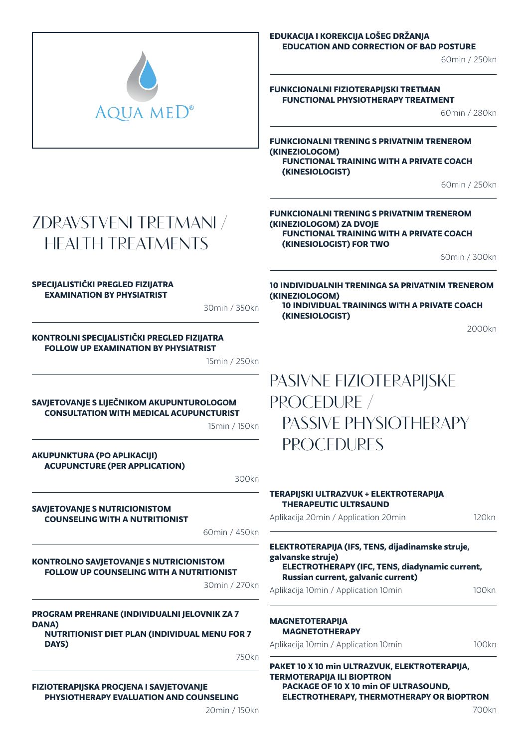

### EDUKACIJA I KOREKCIJA LOŠEG DRŽANJA EDUCATION AND CORRECTION OF BAD POSTURE

60min / 250kn

#### FUNKCIONALNI FIZIOTERAPIJSKI TRETMAN FUNCTIONAL PHYSIOTHERAPY TREATMENT

60min / 280kn

FUNKCIONALNI TRENING S PRIVATNIM TRENEROM (KINEZIOLOGOM) FUNCTIONAL TRAINING WITH A PRIVATE COACH (KINESIOLOGIST)

FUNKCIONALNI TRENING S PRIVATNIM TRENEROM

(KINEZIOLOGOM) ZA DVOJE

60min / 250kn

# **ZDRAVSTVENI TRETMANI / HEALTH TREATMENTS**

### (KINESIOLOGIST) FOR TWO 60min / 300kn 10 INDIVIDUALNIH TRENINGA SA PRIVATNIM TRENEROM

FUNCTIONAL TRAINING WITH A PRIVATE COACH

SPECIJALISTIČKI PREGLED FIZIJATRA EXAMINATION BY PHYSIATRIST

30min / 350kn

#### KONTROLNI SPECIJALISTIČKI PREGLED FIZIJATRA FOLLOW UP EXAMINATION BY PHYSIATRIST

15min / 250kn

#### SAVJETOVANJE S LIJEČNIKOM AKUPUNTUROLOGOM CONSULTATION WITH MEDICAL ACUPUNCTURIST

15min / 150kn

AKUPUNKTURA (PO APLIKACIJI) ACUPUNCTURE (PER APPLICATION)

300kn

#### SAVJETOVANJE S NUTRICIONISTOM COUNSELING WITH A NUTRITIONIST

60min / 450kn

### KONTROLNO SAVJETOVANJE S NUTRICIONISTOM FOLLOW UP COUNSELING WITH A NUTRITIONIST

30min / 270kn

PROGRAM PREHRANE (INDIVIDUALNI JELOVNIK ZA 7 DANA)

NUTRITIONIST DIET PLAN (INDIVIDUAL MENU FOR 7 DAYS)

750kn

FIZIOTERAPIJSKA PROCJENA I SAVJETOVANJE PHYSIOTHERAPY EVALUATION AND COUNSELING

20min / 150kn

### (KINEZIOLOGOM) 10 INDIVIDUAL TRAININGS WITH A PRIVATE COACH (KINESIOLOGIST)

2000kn

# **PASIVNE FIZIOTERAPIJSKE PROCEDURE / PASSIVE PHYSIOTHERAPY PROCEDURES**

| TERAPIJSKI ULTRAZVUK + ELEKTROTERAPIJA<br><b>THERAPEUTIC ULTRSAUND</b>                                                                                               |       |  |
|----------------------------------------------------------------------------------------------------------------------------------------------------------------------|-------|--|
| Aplikacija 20min / Application 20min                                                                                                                                 | 120kn |  |
| ELEKTROTERAPIJA (IFS, TENS, dijadinamske struje,<br>galvanske struje)<br><b>ELECTROTHERAPY (IFC, TENS, diadynamic current,</b><br>Russian current, galvanic current) |       |  |
| Aplikacija 10min / Application 10min                                                                                                                                 | 100kn |  |
| <b>MAGNETOTERAPIJA</b><br><b>MAGNETOTHERAPY</b>                                                                                                                      |       |  |
| Aplikacija 10min / Application 10min                                                                                                                                 | 100kn |  |
| PAKET 10 X 10 min ULTRAZVUK, ELEKTROTERAPIJA,<br><b>TERMOTERAPIJA ILI BIOPTRON</b><br>PACKAGE OF 10 X 10 min OF ULTRASOUND.                                          |       |  |

ELECTROTHERAPY, THERMOTHERAPY OR BIOPTRON

700kn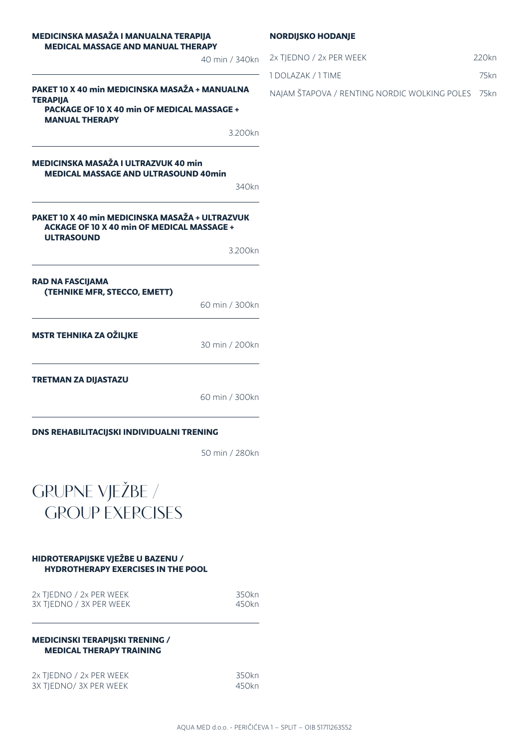#### MEDICINSKA MASAŽA I MANUALNA TERAPIJA MEDICAL MASSAGE AND MANUAL THERAPY

|                                                                                                                                           | 40 min / 340kn                      |
|-------------------------------------------------------------------------------------------------------------------------------------------|-------------------------------------|
| PAKET 10 X 40 min MEDICINSKA MASAŽA + MANUALNA<br><b>TERAPIJA</b><br>PACKAGE OF 10 X 40 min OF MEDICAL MASSAGE +<br><b>MANUAL THERAPY</b> |                                     |
|                                                                                                                                           | 3.200kn                             |
| MEDICINSKA MASAŽA I ULTRAZVUK 40 min<br><b>MEDICAL MASSAGE AND ULTRASOUND 40min</b>                                                       | 340kn                               |
| PAKET 10 X 40 min MEDICINSKA MASAŽA + ULTRAZVUK<br><b>ACKAGE OF 10 X 40 min OF MEDICAL MASSAGE +</b><br><b>ULTRASOUND</b>                 | 3.200kn                             |
| <b>RAD NA FASCIJAMA</b><br>(TEHNIKE MFR, STECCO, EMETT)                                                                                   | 60 min / 300kn                      |
| <b>MSTR TEHNIKA ZA OŽILJKE</b>                                                                                                            | 30 min / 200kn                      |
| <b>TRETMAN ZA DIJASTAZU</b>                                                                                                               | $60 \text{ min}$ / $300 \text{ km}$ |

60 min / 300kn

DNS REHABILITACIJSKI INDIVIDUALNI TRENING

50 min / 280kn



#### HIDROTERAPIJSKE VJEŽBE U BAZENU / HYDROTHERAPY EXERCISES IN THE POOL

| 2x TJEDNO / 2x PER WEEK | 350kn |
|-------------------------|-------|
| 3X TIEDNO / 3X PER WEEK | 450kn |
|                         |       |

#### MEDICINSKI TERAPIJSKI TRENING / MEDICAL THERAPY TRAINING

2x TJEDNO / 2x PER WEEK 350kn 3X TJEDNO/ 3X PER WEEK 450kn NORDIJSKO HODANJE

| 2x TIEDNO / 2x PER WEEK | 220kn |
|-------------------------|-------|
| 1 DOLAZAK / 1 TIME      | 75kn  |

NAJAM ŠTAPOVA / RENTING NORDIC WOLKING POLES 75kn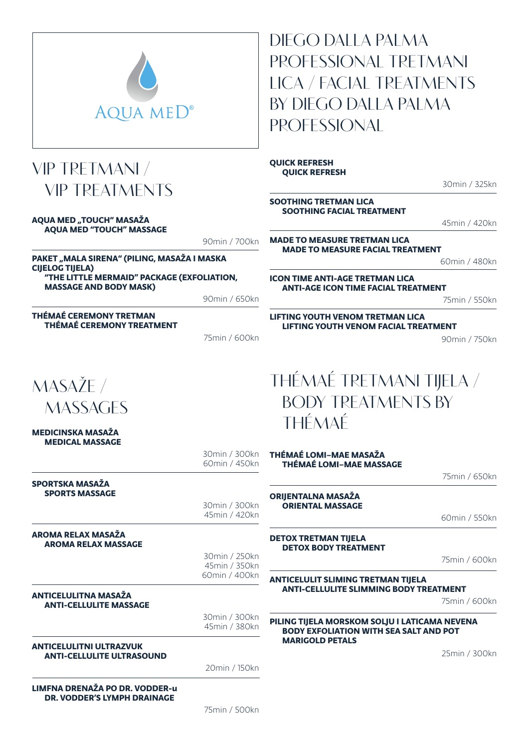

## **VIP TRETMANI / VIP TREATMENTS**

#### AQUA MED "TOUCH" MASAŽA AQUA MED "TOUCH" MASSAGE

90min / 700kn

PAKET "MALA SIRENA" (PILING, MASAŽA I MASKA CIJELOG TIJELA) "THE LITTLE MERMAID" PACKAGE (EXFOLIATION, MASSAGE AND BODY MASK)

90min / 650kn

THÉMAÉ CEREMONY TRETMAN THÉMAÉ CEREMONY TREATMENT

75min / 600kn

# **MASAŽE / MASSAGES**

MEDICINSKA MASAŽA MEDICAL MASSAGE

> 30min / 300kn 60min / 450kn

> > 30min / 300kn 45min / 420kn

#### SPORTSKA MASAŽA SPORTS MASSAGE

AROMA RELAX MASAŽA

AROMA RELAX MASSAGE

30min / 250kn 45min / 350kn 60min / 400kn

#### ANTICELULITNA MASAŽA ANTI-CELLULITE MASSAGE

30min / 300kn 45min / 380kn

#### ANTICELULITNI ULTRAZVUK ANTI-CELLULITE ULTRASOUND

20min / 150kn

LIMFNA DRENAŽA PO DR. VODDER-u DR. VODDER'S LYMPH DRAINAGE

75min / 500kn

**DIEGO DALLA PALMA PROFESSIONAL TRETMANI LICA / FACIAL TREATMENTS BY DIEGO DALLA PALMA PROFESSIONAL**

QUICK REFRESH QUICK REFRESH

30min / 325kn

#### SOOTHING TRETMAN LICA SOOTHING FACIAL TREATMENT

45min / 420kn

MADE TO MEASURE TRETMAN LICA MADE TO MEASURE FACIAL TREATMENT

60min / 480kn

ICON TIME ANTI-AGE TRETMAN LICA ANTI-AGE ICON TIME FACIAL TREATMENT

75min / 550kn

LIFTING YOUTH VENOM TRETMAN LICA LIFTING YOUTH VENOM FACIAL TREATMENT

90min / 750kn

# **THÉMAÉ TRETMANI TIJELA / BODY TREATMENTS BY THÉMAÉ**

THÉMAÉ LOMI–MAE MASAŽA THÉMAÉ LOMI–MAE MASSAGE

75min / 650kn

ORIJENTALNA MASAŽA ORIENTAL MASSAGE

60min / 550kn

DETOX TRETMAN TIJELA DETOX BODY TREATMENT

75min / 600kn

#### ANTICELULIT SLIMING TRETMAN TIJELA ANTI-CELLULITE SLIMMING BODY TREATMENT

75min / 600kn

#### PILING TIJELA MORSKOM SOLJU I LATICAMA NEVENA BODY EXFOLIATION WITH SEA SALT AND POT MARIGOLD PETALS

25min / 300kn